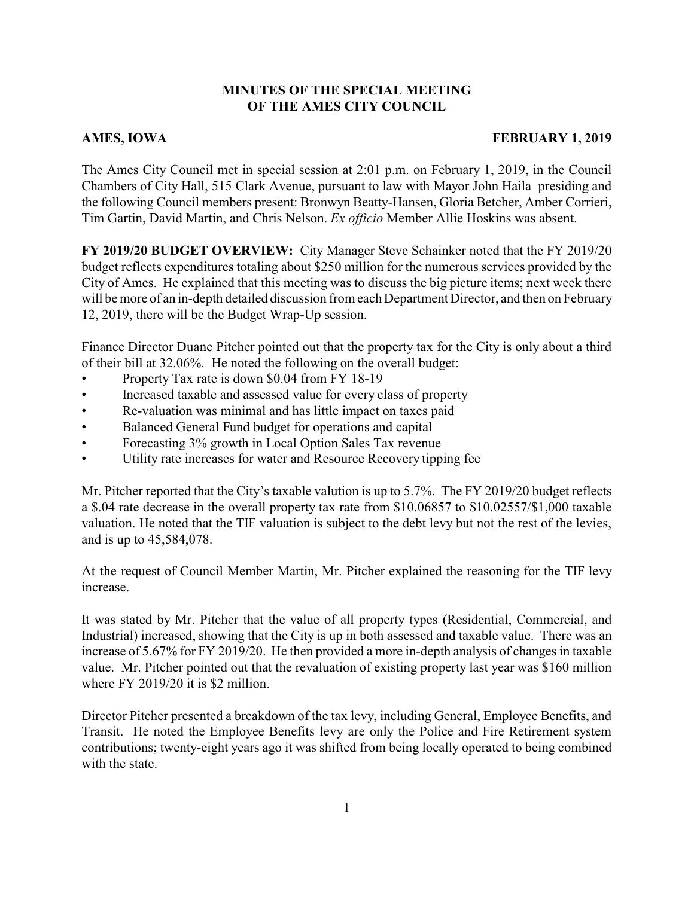## **MINUTES OF THE SPECIAL MEETING OF THE AMES CITY COUNCIL**

## **AMES, IOWA FEBRUARY 1, 2019**

The Ames City Council met in special session at 2:01 p.m. on February 1, 2019, in the Council Chambers of City Hall, 515 Clark Avenue, pursuant to law with Mayor John Haila presiding and the following Council members present: Bronwyn Beatty-Hansen, Gloria Betcher, Amber Corrieri, Tim Gartin, David Martin, and Chris Nelson. *Ex officio* Member Allie Hoskins was absent.

**FY 2019/20 BUDGET OVERVIEW:** City Manager Steve Schainker noted that the FY 2019/20 budget reflects expenditures totaling about \$250 million for the numerous services provided by the City of Ames. He explained that this meeting was to discuss the big picture items; next week there will be more of an in-depth detailed discussion from each Department Director, and then on February 12, 2019, there will be the Budget Wrap-Up session.

Finance Director Duane Pitcher pointed out that the property tax for the City is only about a third of their bill at 32.06%. He noted the following on the overall budget:

- Property Tax rate is down \$0.04 from FY 18-19
- Increased taxable and assessed value for every class of property
- Re-valuation was minimal and has little impact on taxes paid
- Balanced General Fund budget for operations and capital
- Forecasting 3% growth in Local Option Sales Tax revenue
- Utility rate increases for water and Resource Recovery tipping fee

Mr. Pitcher reported that the City's taxable valution is up to 5.7%. The FY 2019/20 budget reflects a \$.04 rate decrease in the overall property tax rate from \$10.06857 to \$10.02557/\$1,000 taxable valuation. He noted that the TIF valuation is subject to the debt levy but not the rest of the levies, and is up to 45,584,078.

At the request of Council Member Martin, Mr. Pitcher explained the reasoning for the TIF levy increase.

It was stated by Mr. Pitcher that the value of all property types (Residential, Commercial, and Industrial) increased, showing that the City is up in both assessed and taxable value. There was an increase of 5.67% for FY 2019/20. He then provided a more in-depth analysis of changes in taxable value. Mr. Pitcher pointed out that the revaluation of existing property last year was \$160 million where FY 2019/20 it is \$2 million.

Director Pitcher presented a breakdown of the tax levy, including General, Employee Benefits, and Transit. He noted the Employee Benefits levy are only the Police and Fire Retirement system contributions; twenty-eight years ago it was shifted from being locally operated to being combined with the state.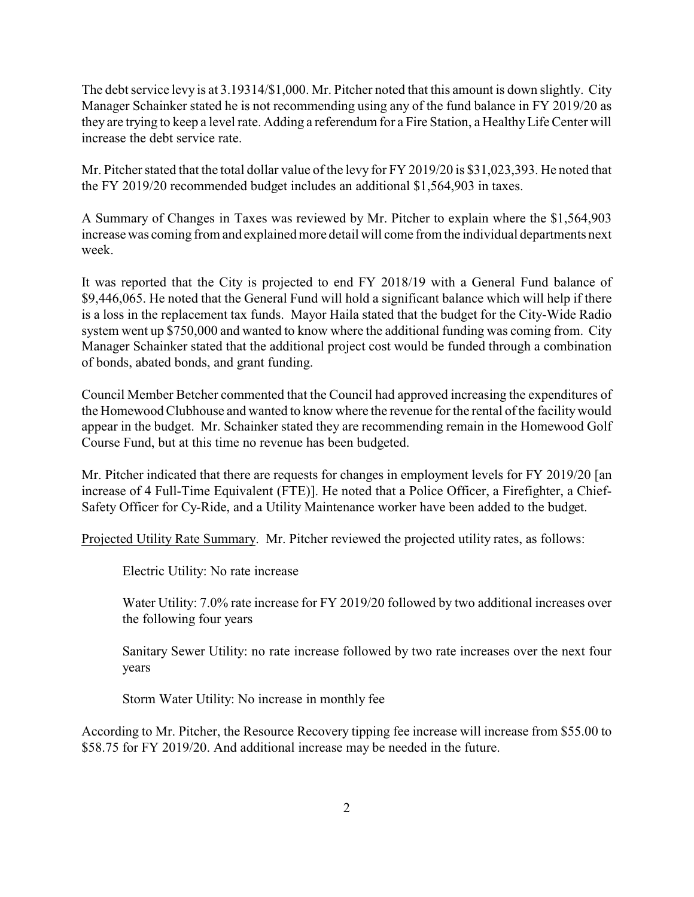The debt service levy is at 3.19314/\$1,000. Mr. Pitcher noted that this amount is down slightly. City Manager Schainker stated he is not recommending using any of the fund balance in FY 2019/20 as they are trying to keep a level rate. Adding a referendum for a Fire Station, a HealthyLife Center will increase the debt service rate.

Mr. Pitcher stated that the total dollar value of the levy for FY 2019/20 is \$31,023,393. He noted that the FY 2019/20 recommended budget includes an additional \$1,564,903 in taxes.

A Summary of Changes in Taxes was reviewed by Mr. Pitcher to explain where the \$1,564,903 increase was coming from and explained more detail will come from the individual departments next week.

It was reported that the City is projected to end FY 2018/19 with a General Fund balance of \$9,446,065. He noted that the General Fund will hold a significant balance which will help if there is a loss in the replacement tax funds. Mayor Haila stated that the budget for the City-Wide Radio system went up \$750,000 and wanted to know where the additional funding was coming from. City Manager Schainker stated that the additional project cost would be funded through a combination of bonds, abated bonds, and grant funding.

Council Member Betcher commented that the Council had approved increasing the expenditures of the Homewood Clubhouse and wanted to know where the revenue for the rental of the facilitywould appear in the budget. Mr. Schainker stated they are recommending remain in the Homewood Golf Course Fund, but at this time no revenue has been budgeted.

Mr. Pitcher indicated that there are requests for changes in employment levels for FY 2019/20 [an increase of 4 Full-Time Equivalent (FTE)]. He noted that a Police Officer, a Firefighter, a Chief-Safety Officer for Cy-Ride, and a Utility Maintenance worker have been added to the budget.

Projected Utility Rate Summary. Mr. Pitcher reviewed the projected utility rates, as follows:

Electric Utility: No rate increase

Water Utility: 7.0% rate increase for FY 2019/20 followed by two additional increases over the following four years

Sanitary Sewer Utility: no rate increase followed by two rate increases over the next four years

Storm Water Utility: No increase in monthly fee

According to Mr. Pitcher, the Resource Recovery tipping fee increase will increase from \$55.00 to \$58.75 for FY 2019/20. And additional increase may be needed in the future.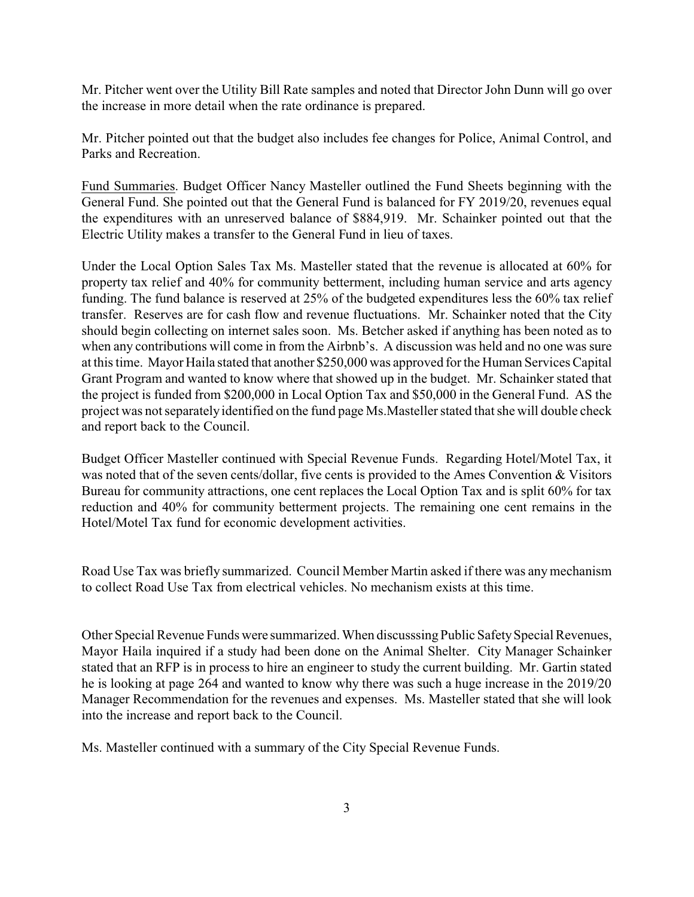Mr. Pitcher went over the Utility Bill Rate samples and noted that Director John Dunn will go over the increase in more detail when the rate ordinance is prepared.

Mr. Pitcher pointed out that the budget also includes fee changes for Police, Animal Control, and Parks and Recreation.

Fund Summaries. Budget Officer Nancy Masteller outlined the Fund Sheets beginning with the General Fund. She pointed out that the General Fund is balanced for FY 2019/20, revenues equal the expenditures with an unreserved balance of \$884,919. Mr. Schainker pointed out that the Electric Utility makes a transfer to the General Fund in lieu of taxes.

Under the Local Option Sales Tax Ms. Masteller stated that the revenue is allocated at 60% for property tax relief and 40% for community betterment, including human service and arts agency funding. The fund balance is reserved at 25% of the budgeted expenditures less the 60% tax relief transfer. Reserves are for cash flow and revenue fluctuations. Mr. Schainker noted that the City should begin collecting on internet sales soon. Ms. Betcher asked if anything has been noted as to when any contributions will come in from the Airbnb's. A discussion was held and no one was sure at this time. Mayor Haila stated that another \$250,000 was approved for the Human Services Capital Grant Program and wanted to know where that showed up in the budget. Mr. Schainker stated that the project is funded from \$200,000 in Local Option Tax and \$50,000 in the General Fund. AS the project was not separately identified on the fund page Ms.Masteller stated that she will double check and report back to the Council.

Budget Officer Masteller continued with Special Revenue Funds. Regarding Hotel/Motel Tax, it was noted that of the seven cents/dollar, five cents is provided to the Ames Convention & Visitors Bureau for community attractions, one cent replaces the Local Option Tax and is split 60% for tax reduction and 40% for community betterment projects. The remaining one cent remains in the Hotel/Motel Tax fund for economic development activities.

Road Use Tax was briefly summarized. Council Member Martin asked if there was any mechanism to collect Road Use Tax from electrical vehicles. No mechanism exists at this time.

Other Special Revenue Funds were summarized. When discusssing Public Safety Special Revenues, Mayor Haila inquired if a study had been done on the Animal Shelter. City Manager Schainker stated that an RFP is in process to hire an engineer to study the current building. Mr. Gartin stated he is looking at page 264 and wanted to know why there was such a huge increase in the 2019/20 Manager Recommendation for the revenues and expenses. Ms. Masteller stated that she will look into the increase and report back to the Council.

Ms. Masteller continued with a summary of the City Special Revenue Funds.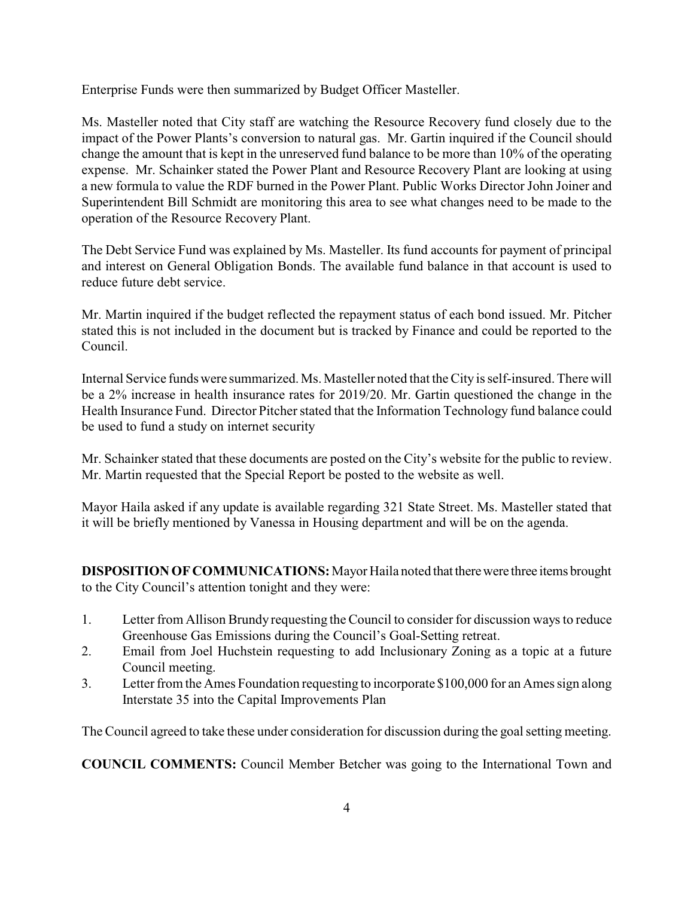Enterprise Funds were then summarized by Budget Officer Masteller.

Ms. Masteller noted that City staff are watching the Resource Recovery fund closely due to the impact of the Power Plants's conversion to natural gas. Mr. Gartin inquired if the Council should change the amount that is kept in the unreserved fund balance to be more than 10% of the operating expense. Mr. Schainker stated the Power Plant and Resource Recovery Plant are looking at using a new formula to value the RDF burned in the Power Plant. Public Works Director John Joiner and Superintendent Bill Schmidt are monitoring this area to see what changes need to be made to the operation of the Resource Recovery Plant.

The Debt Service Fund was explained by Ms. Masteller. Its fund accounts for payment of principal and interest on General Obligation Bonds. The available fund balance in that account is used to reduce future debt service.

Mr. Martin inquired if the budget reflected the repayment status of each bond issued. Mr. Pitcher stated this is not included in the document but is tracked by Finance and could be reported to the Council.

Internal Service funds were summarized. Ms. Masteller noted that the City is self-insured. There will be a 2% increase in health insurance rates for 2019/20. Mr. Gartin questioned the change in the Health Insurance Fund. Director Pitcher stated that the Information Technology fund balance could be used to fund a study on internet security

Mr. Schainker stated that these documents are posted on the City's website for the public to review. Mr. Martin requested that the Special Report be posted to the website as well.

Mayor Haila asked if any update is available regarding 321 State Street. Ms. Masteller stated that it will be briefly mentioned by Vanessa in Housing department and will be on the agenda.

**DISPOSITION OF COMMUNICATIONS:** Mayor Haila noted that there were three items brought to the City Council's attention tonight and they were:

- 1. Letter from Allison Brundy requesting the Council to consider for discussion ways to reduce Greenhouse Gas Emissions during the Council's Goal-Setting retreat.
- 2. Email from Joel Huchstein requesting to add Inclusionary Zoning as a topic at a future Council meeting.
- 3. Letter from the Ames Foundation requesting to incorporate \$100,000 for an Ames sign along Interstate 35 into the Capital Improvements Plan

The Council agreed to take these under consideration for discussion during the goal setting meeting.

**COUNCIL COMMENTS:** Council Member Betcher was going to the International Town and